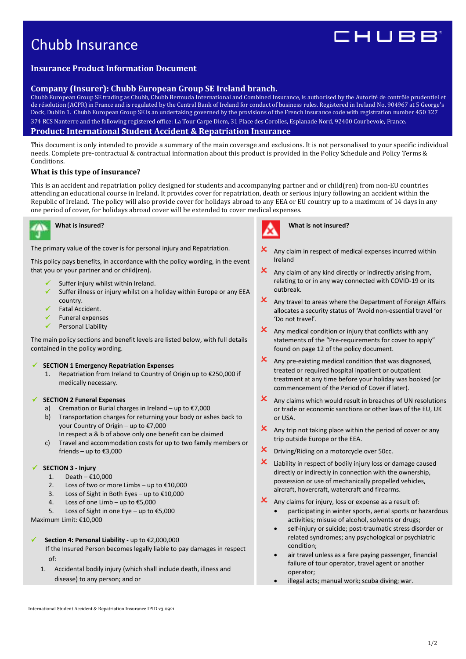# Chubb Insurance

# IHUBB

# **Insurance Product Information Document**

# **Company (Insurer): Chubb European Group SE Ireland branch.**

Chubb European Group SE trading as Chubb, Chubb Bermuda International and Combined Insurance, is authorised by the Autorité de contrôle prudentiel et de résolution (ACPR) in France and is regulated by the Central Bank of Ireland for conduct of business rules. Registered in Ireland No. 904967 at 5 George's Dock, Dublin 1. Chubb European Group SE is an undertaking governed by the provisions of the French insurance code with registration number 450 327 374 RCS Nanterre and the following registered office: La Tour Carpe Diem, 31 Place des Corolles, Esplanade Nord, 92400 Courbevoie, France. **Product: International Student Accident & Repatriation Insurance** 

This document is only intended to provide a summary of the main coverage and exclusions. It is not personalised to your specific individual needs. Complete pre-contractual & contractual information about this product is provided in the Policy Schedule and Policy Terms & Conditions.

# **What is this type of insurance?**

This is an accident and repatriation policy designed for students and accompanying partner and or child(ren) from non-EU countries attending an educational course in Ireland. It provides cover for repatriation, death or serious injury following an accident within the Republic of Ireland. The policy will also provide cover for holidays abroad to any EEA or EU country up to a maximum of 14 days in any one period of cover, for holidays abroad cover will be extended to cover medical expenses.



# **What is insured?**

The primary value of the cover is for personal injury and Repatriation.

This policy pays benefits, in accordance with the policy wording, in the event that you or your partner and or child(ren).

- Suffer injury whilst within Ireland.
- $\checkmark$  Suffer illness or injury whilst on a holiday within Europe or any EEA country.
- Fatal Accident.
- Funeral expenses
- Personal Liability

The main policy sections and benefit levels are listed below, with full details contained in the policy wording.

#### **SECTION 1 Emergency Repatriation Expenses**

1. Repatriation from Ireland to Country of Origin up to €250,000 if medically necessary.

#### **SECTION 2 Funeral Expenses**

- a) Cremation or Burial charges in Ireland up to €7,000
- b) Transportation charges for returning your body or ashes back to your Country of Origin – up to €7,000 In respect a & b of above only one benefit can be claimed
- c) Travel and accommodation costs for up to two family members or friends – up to €3,000

#### **SECTION 3 - Injury**

- 1. Death €10,000
- 2. Loss of two or more Limbs up to  $£10,000$
- 3. Loss of Sight in Both Eyes up to €10,000
- 4. Loss of one Limb up to €5,000
- 5. Loss of Sight in one Eye up to €5,000

Maximum Limit: €10,000

# **Section 4: Personal Liability -** up to €2,000,000

 If the Insured Person becomes legally liable to pay damages in respect  $\alpha$ f

1. Accidental bodily injury (which shall include death, illness and disease) to any person; and or

 $\mathbf{\times}$  Any claim in respect of medical expenses incurred within Ireland

**What is not insured?** 

- $x$  Any claim of any kind directly or indirectly arising from, relating to or in any way connected with COVID-19 or its outbreak.
- X Any travel to areas where the Department of Foreign Affairs allocates a security status of 'Avoid non-essential travel 'or 'Do not travel'.
- $\mathsf{\times}\quad$  Any medical condition or injury that conflicts with any statements of the "Pre-requirements for cover to apply" found on page 12 of the policy document.
- Any pre-existing medical condition that was diagnosed, treated or required hospital inpatient or outpatient treatment at any time before your holiday was booked (or commencement of the Period of Cover if later).
- $\mathsf{\times}$  Any claims which would result in breaches of UN resolutions or trade or economic sanctions or other laws of the EU, UK or USA.
- $x$  Any trip not taking place within the period of cover or any trip outside Europe or the EEA.
- **X** Driving/Riding on a motorcycle over 50cc.
- **X** Liability in respect of bodily injury loss or damage caused directly or indirectly in connection with the ownership, possession or use of mechanically propelled vehicles, aircraft, hovercraft, watercraft and firearms.
- Any claims for injury, loss or expense as a result of:
	- participating in winter sports, aerial sports or hazardous activities; misuse of alcohol, solvents or drugs;
	- self-injury or suicide; post-traumatic stress disorder or related syndromes; any psychological or psychiatric condition;
	- air travel unless as a fare paying passenger, financial failure of tour operator, travel agent or another operator;
	- illegal acts; manual work; scuba diving; war.

International Student Accident & Repatriation Insurance IPID v3 0921